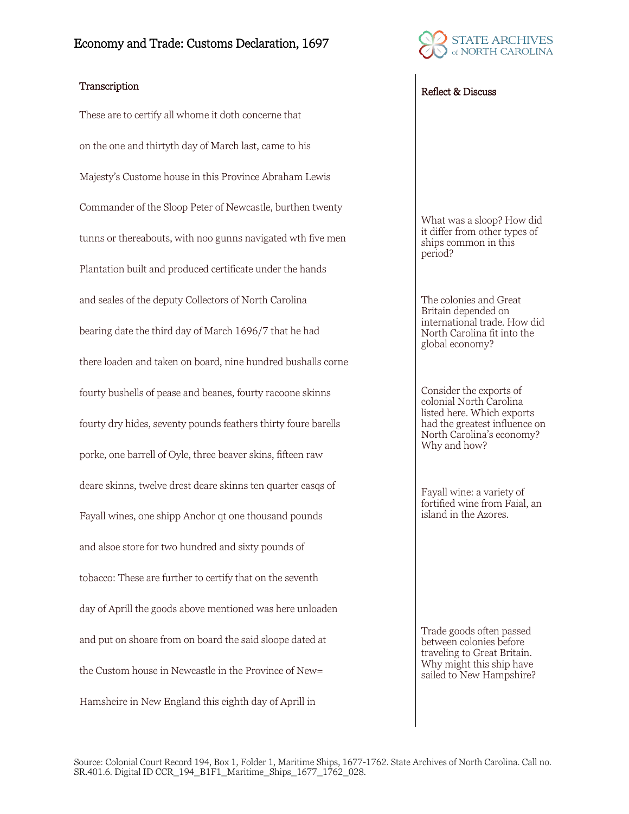

These are to certify all whome it doth concerne that on the one and thirtyth day of March last, came to his Majesty's Custome house in this Province Abraham Lewis Commander of the Sloop Peter of Newcastle, burthen twenty tunns or thereabouts, with noo gunns navigated wth five men Plantation built and produced certificate under the hands and seales of the deputy Collectors of North Carolina bearing date the third day of March 1696/7 that he had there loaden and taken on board, nine hundred bushalls corne fourty bushells of pease and beanes, fourty racoone skinns fourty dry hides, seventy pounds feathers thirty foure barells porke, one barrell of Oyle, three beaver skins, fifteen raw deare skinns, twelve drest deare skinns ten quarter casqs of Fayall wines, one shipp Anchor qt one thousand pounds and alsoe store for two hundred and sixty pounds of tobacco: These are further to certify that on the seventh day of Aprill the goods above mentioned was here unloaden and put on shoare from on board the said sloope dated at the Custom house in Newcastle in the Province of New= Hamsheire in New England this eighth day of Aprill in

## Transcription Reflect & Discuss

What was a sloop? How did it differ from other types of ships common in this period?

The colonies and Great Britain depended on international trade. How did North Carolina fit into the global economy?

Consider the exports of colonial North Carolina listed here. Which exports had the greatest influence on North Carolina's economy? Why and how?

Fayall wine: a variety of fortified wine from Faial, an island in the Azores.

Trade goods often passed between colonies before traveling to Great Britain. Why might this ship have sailed to New Hampshire?